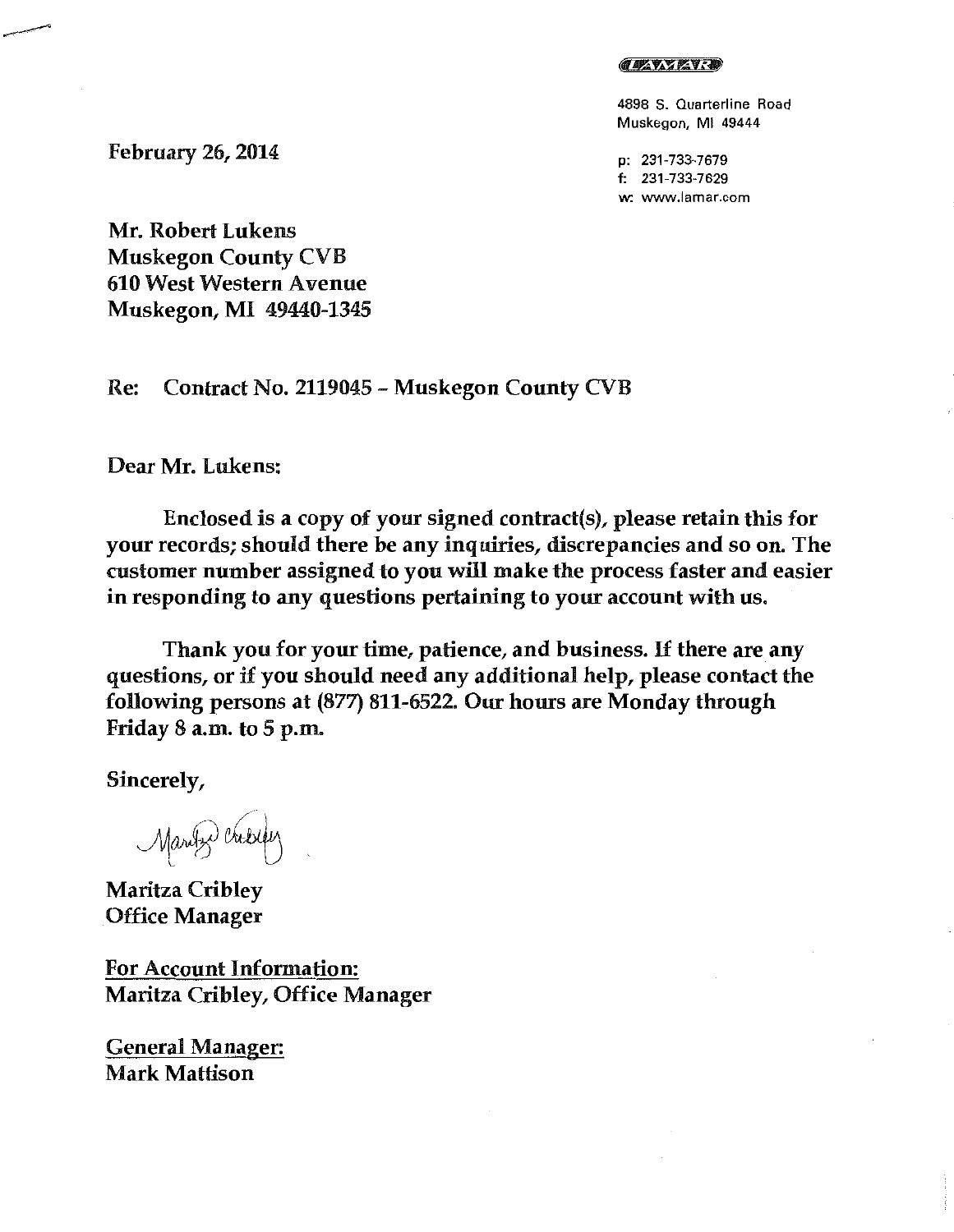## **CEAVARY**

4898 S. Quarterline Road Muskegon, Ml 49444

p: 231-733-7679 f: 231-733-7629 **w: www.lamar.com** 

February 26, 2014

Mr. Robert Lukens Muskegon County CVB 610 West Western Avenue Muskegon, MI 49440-1345

Re: Contract No. 2119045- Muskegon County CVB

Dear Mr. Lukens:

Enclosed is a copy of your signed contract(s), please retain this for your records; should there be any inquiries, discrepancies and so on. The customer number assigned to you will make the process faster and easier in responding to any questions pertaining to your account with us.

Thank you for your time, patience, and business. If there are any questions, or if you should need any additional help, please contact the following persons at (877) 811-6522. Our hours are Monday through Friday 8 a.m. to 5 p.m.

Sincerely,

Maritz Crisiqu

Maritza Cribley Office Manager

For Account Information: Maritza Cribley, Office Manager

General Manager: Mark Mattison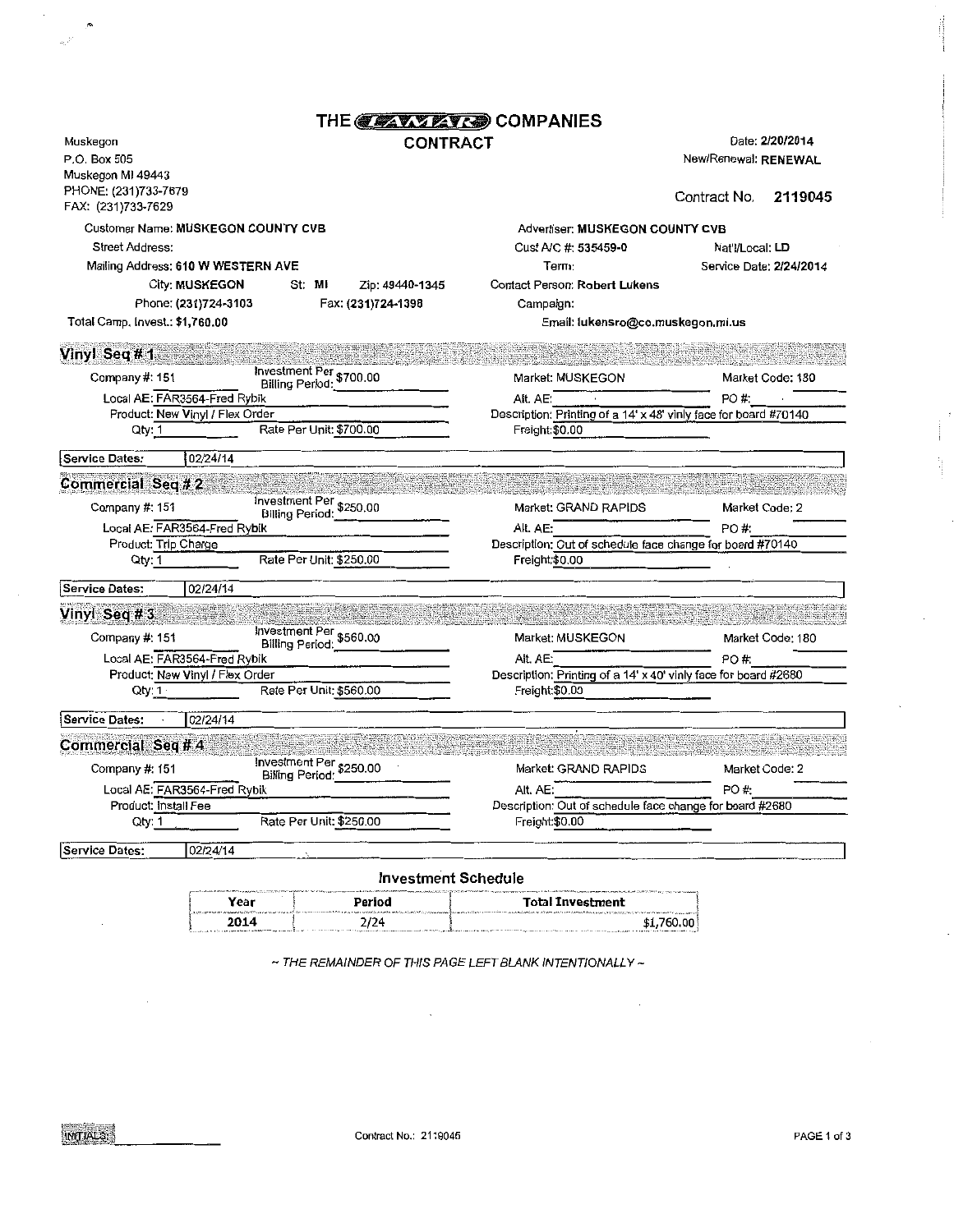|                                                                       | THE <b>CALLABOR</b> COMPANIES                     |                                                                              |                                                                    |
|-----------------------------------------------------------------------|---------------------------------------------------|------------------------------------------------------------------------------|--------------------------------------------------------------------|
| Muskegon<br>P.O. Box 505<br>Muskegon MI 49443<br>PHONE: (231)733-7679 | <b>CONTRACT</b>                                   |                                                                              | Date: 2/20/2014<br>New/Renewal: RENEWAL<br>Contract No.<br>2119045 |
| FAX: (231)733-7629                                                    |                                                   |                                                                              |                                                                    |
| Customer Name: MUSKEGON COUNTY CVB                                    |                                                   | Advertiser: MUSKEGON COUNTY CVB                                              |                                                                    |
| Street Address:<br>Mailing Address: 610 W WESTERN AVE                 |                                                   | Cust A/C #: 535459-0<br>Term:                                                | Nat'l/Local: LD<br>Service Date: 2/24/2014                         |
| <b>City: MUSKEGON</b>                                                 | St: MI<br>Zip: 49440-1345                         | Contact Person: Robert Lukens                                                |                                                                    |
| Phone: (231)724-3103                                                  | Fax: (231)724-1398                                | Campaign:                                                                    |                                                                    |
| Total Camp. Invest.: \$1,760.00                                       |                                                   | Email: lukensro@co.muskegon.mi.us                                            |                                                                    |
|                                                                       |                                                   |                                                                              |                                                                    |
| Vinyl Seq #1                                                          |                                                   |                                                                              |                                                                    |
| Company #: 151                                                        | Investment Per \$700.00<br>Billing Period:        | Market: MUSKEGON                                                             | Market Code: 180                                                   |
| Local AE: FAR3564-Fred Rybik<br>Product: New Vinyl / Flex Order       |                                                   | Alt. AE:<br>Description: Printing of a 14' x 48' vinly face for board #70140 | PO #:                                                              |
| Qty: 1                                                                | Rate Per Unit: \$700.00                           | Freight:\$0.00                                                               |                                                                    |
| <b>Service Dates:</b><br>02/24/14                                     |                                                   |                                                                              |                                                                    |
| Commercial Seq # 2                                                    |                                                   |                                                                              |                                                                    |
| Company #: 151                                                        |                                                   | Market: GRAND RAPIDS                                                         | Market Code: 2                                                     |
| Local AE: FAR3564-Fred Rybik                                          |                                                   | Alt. AE:                                                                     | PO#:                                                               |
| Product: Trip Charge                                                  |                                                   | Description: Out of schedule face change for board #70140                    |                                                                    |
| Qty: 1                                                                | Rate Per Unit: \$250.00                           | Freight:\$0.00                                                               |                                                                    |
| 02/24/14<br><b>Service Dates:</b>                                     |                                                   |                                                                              |                                                                    |
| Vinyl Seq #3                                                          |                                                   |                                                                              |                                                                    |
| Company #: 151                                                        |                                                   | Market: MUSKEGON                                                             | Market Code: 180                                                   |
| Local AE: FAR3564-Fred Rybik                                          |                                                   | Alt. AE:                                                                     | PO#:                                                               |
| Product: New Vinyl / Flex Order                                       |                                                   | Description: Printing of a 14' x 40' vinly face for board #2680              |                                                                    |
| Qty:1                                                                 | Rate Per Unit: \$560.00                           | Freight:\$0.00                                                               |                                                                    |
| 02/24/14<br>Service Dates:                                            |                                                   |                                                                              |                                                                    |
| Commercial Seq # 4                                                    |                                                   |                                                                              |                                                                    |
| Company #: 151                                                        | Investment Per \$250.00<br><b>Billing Period:</b> | Market: GRAND RAPIDS                                                         | Market Code: 2                                                     |
| Local AE: FAR3564-Fred Rybik                                          |                                                   | Alt. AE:                                                                     | PO #:                                                              |
| Product: Install Fee                                                  |                                                   | Description: Out of schedule face change for board #2680                     |                                                                    |
| Qty: 1                                                                | Rate Per Unit: \$250.00                           | Freight:\$0.00                                                               |                                                                    |
| 02/24/14<br><b>Service Dates:</b>                                     |                                                   |                                                                              |                                                                    |
|                                                                       | Investment Schedule                               |                                                                              |                                                                    |

| UNIVERSITY PRODUCT TO ANNO 2012 12:00:00 PRODUCT TO A COURT TO PRODUCT TO PRODUCT TO THE TOTAL TO A CONTROLLED AN ACCURTATIVE PRODUCT TO THE AREA ALBUM 2012 2012 TO A SETTING THE PRODUCT OF A SETTING AND ALBUM AND A CONTRO |        |                                                                                                                                                                                                                                |  |  |
|--------------------------------------------------------------------------------------------------------------------------------------------------------------------------------------------------------------------------------|--------|--------------------------------------------------------------------------------------------------------------------------------------------------------------------------------------------------------------------------------|--|--|
| Year                                                                                                                                                                                                                           | Period | <b>Total Investment</b>                                                                                                                                                                                                        |  |  |
|                                                                                                                                                                                                                                |        |                                                                                                                                                                                                                                |  |  |
|                                                                                                                                                                                                                                |        |                                                                                                                                                                                                                                |  |  |
| 2014                                                                                                                                                                                                                           | 2/24   | \$1,760,00                                                                                                                                                                                                                     |  |  |
|                                                                                                                                                                                                                                |        | The contract of the annual composed on the contract of the contract of the contract of the component of the component of the contract of the contract of the contract of the contract of the contract of the contract of the c |  |  |
|                                                                                                                                                                                                                                |        |                                                                                                                                                                                                                                |  |  |

 $\sim$  THE REMAINDER OF THIS PAGE LEFT BLANK INTENTIONALLY  $\sim$ 

 $\cdot$ 

 $\label{eq:2} \frac{1}{\left|\mathcal{A}\right|^{2}}\sum_{i=1}^{N}\frac{1}{\left|\mathcal{A}\right|^{2}}$ 

 $\cdot$ 

in products.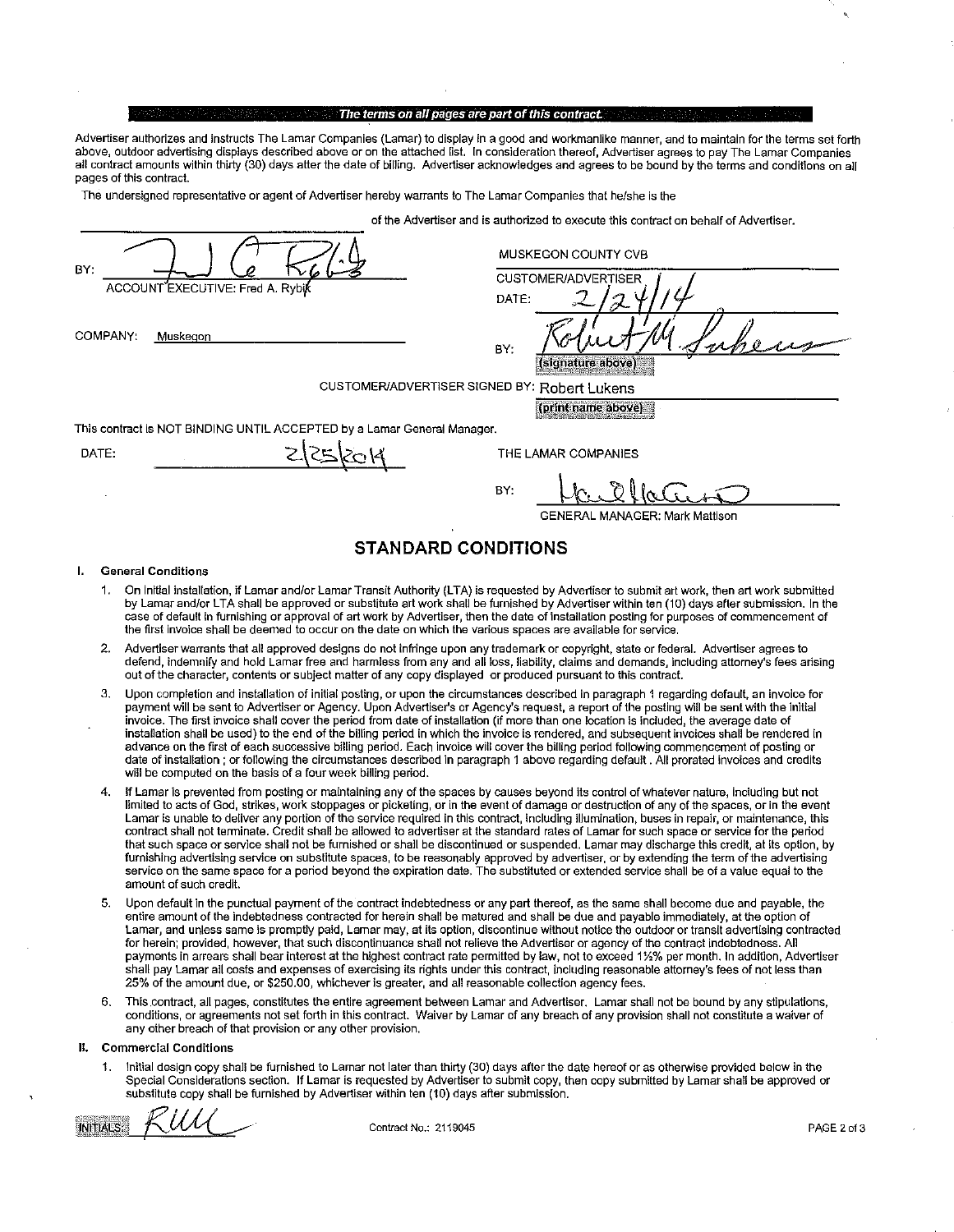#### The terms on all pages are part of this contract

Advertiser authorizes and instructs The Lamar Companies (Lamar) to display in a good and workmanlike manner, and to maintain for the terms set forth above, outdoor advertising displays described above or on the attached list. In consideration thereof, Advertiser agrees to pay The Lamar Companies all contract amounts within thirty (30) days after the date of billing. Advertiser acknowledges and agrees to be bound by the terms and conditions on all pages of this contract.

The undersigned representative or agent of Advertiser hereby warrants to The Lamar Companies that he/she Is the

of the Advertiser and is authorized to execute this contract on behalf of Advertiser.

| BY:<br>ACCOUNT EXECUTIVE: Fred A. Rybik                                 | MUSKEGON COUNTY CVB<br><b>CUSTOMER/ADVERTISER</b><br>DATE: |
|-------------------------------------------------------------------------|------------------------------------------------------------|
| COMPANY:<br>Muskegon                                                    | BY:<br>(signature above)                                   |
| CUSTOMER/ADVERTISER SIGNED BY: Robert Lukens                            | (print name above)                                         |
| This contract is NOT BINDING UNTIL ACCEPTED by a Lamar General Manager. |                                                            |
| DATE:                                                                   | THE LAMAR COMPANIES                                        |
|                                                                         | BY:<br><b>GENERAL MANAGER: Mark Mattison</b>               |

# STANDARD CONDITIONS

## I. General Conditions

- 1. On Initial installation, if Lamar and/or Lamar Transit Authority (LTA) is requested by Advertiser to submit art work, then art work submitted by Lamar and/or LTA shall be approved or substitute art work shall be furnished by Advertiser within ten (10) days after submission. In the case of default in furnishing or approval of art work by Advertiser, then the date of installation posting for purposes of commencement of the first Invoice shall be deemed to occur on the date on which the various spaces are available for service.
- 2. Advertiser warrants that aU approved designs do not infringe upon any trademark or copyright, state or federal. Advertiser agrees to defend, indemnify and hold Lamar free and harmless from any and all loss, liability, claims and demands, Including attorney's fees arising out of the character, contents or subject matter of any copy displayed or produced pursuant to this contract.
- 3. Upon completion and installation of initial posting, or upon the circumstances described in paragraph 1 regarding default, an invoice for payment will be sent to Advertiser or Agency. Upon Advertiser's or Agency's request, a report of the posting will be sent with the initial invoice. The first invoice shall cover the period from date of installation (if more than one location is included, the average date of installation shall be used) to the end of the billing period in which the invoice is rendered, and subsequent invoices shall be rendered in advance on the first of each successive billing period. Each invoice will cover the billing period following commencement of posting or date of installation ; or following the circumstances described ln paragraph 1 above regarding default . All prorated invoices and credits will be computed on the basis of a four week billing period.
- 4. If Lamar is prevented from posting or maintaining any of the spaces by causes beyond its control of whatever nature, including but not limited to acts of God, strikes, work stoppages or picketing, or in the event of damage or destruction of any of the spaces, or in the event Lamar is unable to deliver any portion of the setvice required in this contract, including illumination, buses in repair, or maintenance, this contract shall not terminate. Credit shall be allowed to advertiser at the standard rates of Lamar for such space or setvice for the period that such space or service shall not be furnished or shall be discontinued or suspended. Lamar may discharge this credit, at its option, by furnishing advertising service on substitute spaces, to be reasonably approved by advertiser, or by extending the term of the advertising service on the same space for a period beyond the expiration date, The substituted or extended service shall be of a value equal to the amount of such credit.
- 5. Upon default In the punctual payment of the contract indebtedness or any part thereof, as the same shall become due and payable, the entire amount of the indebtedness contracted for herein shall be matured and shall be due and payable immediately, at the option of Lamar, and unless same is promptly paid, Lamar may, at its option, discontinue without notice the outdoor or transit advertising contracted for herein; provided, however, that such discontinuance shall not relieve the Advertiser or agency of the contract indebtedness. All payments in arrears shall bear interest at the highest contract rate permitted by law, not to exceed 1%% per month.ln addition, Advertiser shall pay Lamar all costs and expenses of exercising its rights under this contract, including reasonable attorney's fees of not less than 25% of the amount due, or \$250.00, whichever is greater, and all reasonable collection agency fees.
- 6. This.contract, all pages, constitutes the entire agreement between Lamar and Advertiser. Lamar shall not be bound by any stipulations, conditions, or agreements not set forth in this contract. Waiver by Lamar of any breach of any provision shall not constitute a waiver of any other breach of that provision or any other provision.

#### II. Commercial Conditions

1. Initial design copy shall be furnished to Lamar not later than thirty (30) days after the date hereof or as otherwise provided below in the Special Considerations section. If Lamar is requested by Advertiser to submit copy, then copy submitted by Lamar shall be approved or substitute copy shall be furnished by Advertiser within ten (10) days after submission.

**INITIALS:** 

Contract No.: 2119045 PAGE2of3